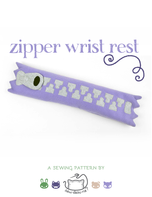

## **a sewing pattern by**

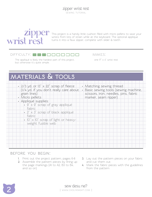

 $\mathbb{Z}$   $\mathbb{D}$   $\mathbb{D}$   $\mathbb{C}$  This project is a handy little cushion filled with micro pellets to save your wrists from lots of strain while at the keyboard. The optional applique turns it into a faux zipper, complete with slider & teeth.

#### $D$ IFFICULTY:  $\Box$  $\Box$  $\Box$  $\Box$ II

makes:

The appliqué is likely the hardest part of this project,  $one 17" \times 4"$  wrist rest but otherwise it's quite simple.

# **materials & tools**

| $\cdot$ 2/3 yd. or 13" $\times$ 22" scrap of fleede<br>(1/4 yd. if you don't really care about<br>grain lines) | • Matching sewing thread<br>· Basic sewing tools (sewing machine,<br>scissors, iron, needles, pins, fabric |
|----------------------------------------------------------------------------------------------------------------|------------------------------------------------------------------------------------------------------------|
| • Micro pellets                                                                                                | marker, seam ripper)                                                                                       |
| · Appliqué supplies:                                                                                           |                                                                                                            |
| $\cdot$ 9" x 9" scrap of gray appliqué                                                                         |                                                                                                            |
| fabric                                                                                                         |                                                                                                            |
| $2" \times 3"$ scrap of black appliqué                                                                         |                                                                                                            |
| fabric                                                                                                         |                                                                                                            |
| $10'' \times 10''$ scrap of light or heavy-                                                                    |                                                                                                            |
| weight fusible web                                                                                             |                                                                                                            |
|                                                                                                                |                                                                                                            |
|                                                                                                                |                                                                                                            |
|                                                                                                                |                                                                                                            |
|                                                                                                                |                                                                                                            |
|                                                                                                                |                                                                                                            |
|                                                                                                                |                                                                                                            |
|                                                                                                                |                                                                                                            |

#### **before you begin:**

- **1.** Print out the project pattern, pages 6-8
- **2.** Assemble the pattern pieces by lining up the page markings (A1 to A2, B3 to B4, and so on)
- **3.** Lay out the pattern pieces on your fabric and cut them out
- **4.** Mark the fabric pieces with the guidelines from the pattern

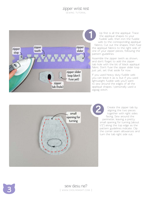### zipper wrist rest

sewing tutorial



Up first is all the appliqué. Trace the appliqué shapes to your fusible web, then iron the fusible web to the corresponding appliqué fabrics. Cut out the shapes, then fuse the appliqué fabrics to the right side of one of your zipper pieces, following the pattern guidelines.

Assemble the zipper teeth as shown, and don't forget to add the zipper tab hole with the bit of black appliqué fabric. Don't fuse the zipper slider loop just yet, set that aside for now.

If you used heavy duty fusible web you can leave it as is, but if you used lightweight fusible web you'll want to sew around the edges of all the appliqué shapes. I personally used a zigzag stitch.



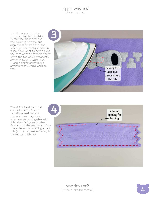#### zipper wrist rest sewing tutorial

Use the zipper slider loop to attach tab to the slider. Center the slider over the tab, covering halfway, and align the other half over the slider. Iron the appliqué piece in place. You'll want to sew around the edge of this shape to anchor down the tab and permanently attach it to your wrist rest. I used a zigzag stitch but a straight stitch would work as well.



There! The hard part is all over. All that's left is to sew the actual body of the wrist rest. Layer your wrist rest pieces together with right sides facing each other. Sew around the perimeter of the shape, leaving an opening at one side (as the pattern indicates) for turning right side out.



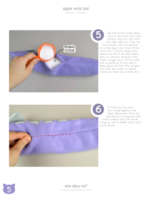#### zipper wrist rest

. .<br>SEWING TUTORIAL



Clip the excess seam allowance in the inner and outer corners and turn the wrist rest right side out. Poke out the corners with a chopstick or similar blunt tool, then fill the wrist rest. If you're using micro pellets, do this in an area that's easy to vacuum, because they make a huge mess. Fill the wrist rest a cupful at a time until it feels about 2/3 full. This will give the wrist rest room to squish when you have your wrists on it.



To finish up the wrist rest, bring together the seam allowances from the opening for turning and fold them inward. Sew the whole thing up with a ladder stitch and you're done!

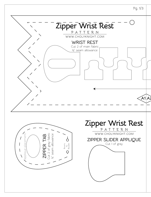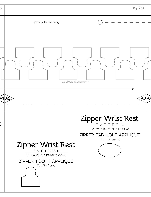